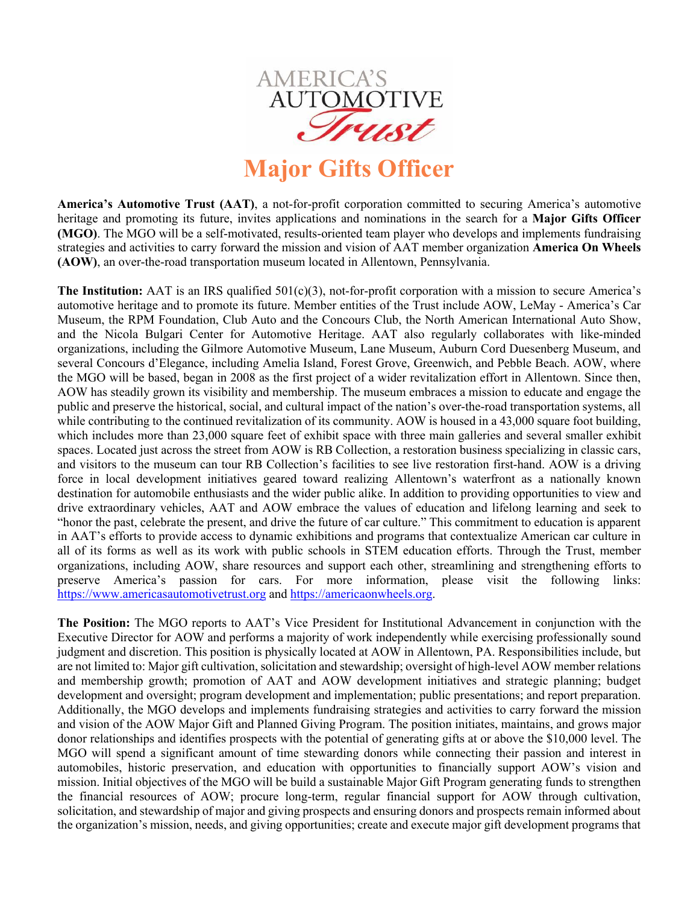

## **Major Gifts Officer**

**America's Automotive Trust (AAT)**, a not-for-profit corporation committed to securing America's automotive heritage and promoting its future, invites applications and nominations in the search for a **Major Gifts Officer (MGO)**. The MGO will be a self-motivated, results-oriented team player who develops and implements fundraising strategies and activities to carry forward the mission and vision of AAT member organization **America On Wheels (AOW)**, an over-the-road transportation museum located in Allentown, Pennsylvania.

**The Institution:** AAT is an IRS qualified 501(c)(3), not-for-profit corporation with a mission to secure America's automotive heritage and to promote its future. Member entities of the Trust include AOW, LeMay - America's Car Museum, the RPM Foundation, Club Auto and the Concours Club, the North American International Auto Show, and the Nicola Bulgari Center for Automotive Heritage. AAT also regularly collaborates with like-minded organizations, including the Gilmore Automotive Museum, Lane Museum, Auburn Cord Duesenberg Museum, and several Concours d'Elegance, including Amelia Island, Forest Grove, Greenwich, and Pebble Beach. AOW, where the MGO will be based, began in 2008 as the first project of a wider revitalization effort in Allentown. Since then, AOW has steadily grown its visibility and membership. The museum embraces a mission to educate and engage the public and preserve the historical, social, and cultural impact of the nation's over-the-road transportation systems, all while contributing to the continued revitalization of its community. AOW is housed in a 43,000 square foot building, which includes more than 23,000 square feet of exhibit space with three main galleries and several smaller exhibit spaces. Located just across the street from AOW is RB Collection, a restoration business specializing in classic cars, and visitors to the museum can tour RB Collection's facilities to see live restoration first-hand. AOW is a driving force in local development initiatives geared toward realizing Allentown's waterfront as a nationally known destination for automobile enthusiasts and the wider public alike. In addition to providing opportunities to view and drive extraordinary vehicles, AAT and AOW embrace the values of education and lifelong learning and seek to "honor the past, celebrate the present, and drive the future of car culture." This commitment to education is apparent in AAT's efforts to provide access to dynamic exhibitions and programs that contextualize American car culture in all of its forms as well as its work with public schools in STEM education efforts. Through the Trust, member organizations, including AOW, share resources and support each other, streamlining and strengthening efforts to preserve America's passion for cars. For more information, please visit the following links: https://www.americasautomotivetrust.org and https://americaonwheels.org.

**The Position:** The MGO reports to AAT's Vice President for Institutional Advancement in conjunction with the Executive Director for AOW and performs a majority of work independently while exercising professionally sound judgment and discretion. This position is physically located at AOW in Allentown, PA. Responsibilities include, but are not limited to: Major gift cultivation, solicitation and stewardship; oversight of high-level AOW member relations and membership growth; promotion of AAT and AOW development initiatives and strategic planning; budget development and oversight; program development and implementation; public presentations; and report preparation. Additionally, the MGO develops and implements fundraising strategies and activities to carry forward the mission and vision of the AOW Major Gift and Planned Giving Program. The position initiates, maintains, and grows major donor relationships and identifies prospects with the potential of generating gifts at or above the \$10,000 level. The MGO will spend a significant amount of time stewarding donors while connecting their passion and interest in automobiles, historic preservation, and education with opportunities to financially support AOW's vision and mission. Initial objectives of the MGO will be build a sustainable Major Gift Program generating funds to strengthen the financial resources of AOW; procure long-term, regular financial support for AOW through cultivation, solicitation, and stewardship of major and giving prospects and ensuring donors and prospects remain informed about the organization's mission, needs, and giving opportunities; create and execute major gift development programs that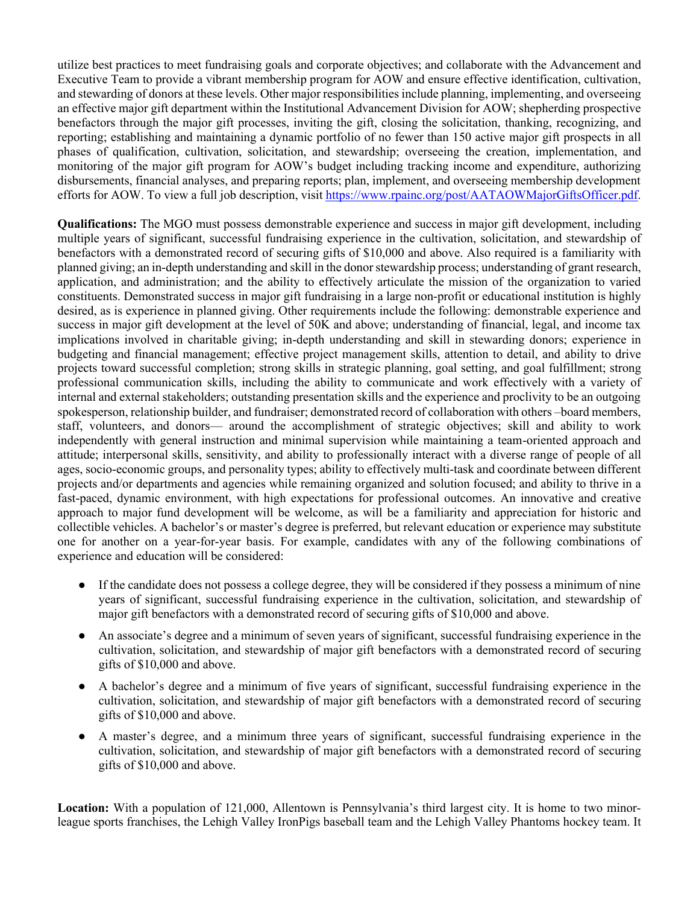utilize best practices to meet fundraising goals and corporate objectives; and collaborate with the Advancement and Executive Team to provide a vibrant membership program for AOW and ensure effective identification, cultivation, and stewarding of donors at these levels. Other major responsibilities include planning, implementing, and overseeing an effective major gift department within the Institutional Advancement Division for AOW; shepherding prospective benefactors through the major gift processes, inviting the gift, closing the solicitation, thanking, recognizing, and reporting; establishing and maintaining a dynamic portfolio of no fewer than 150 active major gift prospects in all phases of qualification, cultivation, solicitation, and stewardship; overseeing the creation, implementation, and monitoring of the major gift program for AOW's budget including tracking income and expenditure, authorizing disbursements, financial analyses, and preparing reports; plan, implement, and overseeing membership development efforts for AOW. To view a full job description, visit https://www.rpainc.org/post/AATAOWMajorGiftsOfficer.pdf.

**Qualifications:** The MGO must possess demonstrable experience and success in major gift development, including multiple years of significant, successful fundraising experience in the cultivation, solicitation, and stewardship of benefactors with a demonstrated record of securing gifts of \$10,000 and above. Also required is a familiarity with planned giving; an in-depth understanding and skill in the donor stewardship process; understanding of grant research, application, and administration; and the ability to effectively articulate the mission of the organization to varied constituents. Demonstrated success in major gift fundraising in a large non-profit or educational institution is highly desired, as is experience in planned giving. Other requirements include the following: demonstrable experience and success in major gift development at the level of 50K and above; understanding of financial, legal, and income tax implications involved in charitable giving; in-depth understanding and skill in stewarding donors; experience in budgeting and financial management; effective project management skills, attention to detail, and ability to drive projects toward successful completion; strong skills in strategic planning, goal setting, and goal fulfillment; strong professional communication skills, including the ability to communicate and work effectively with a variety of internal and external stakeholders; outstanding presentation skills and the experience and proclivity to be an outgoing spokesperson, relationship builder, and fundraiser; demonstrated record of collaboration with others –board members, staff, volunteers, and donors— around the accomplishment of strategic objectives; skill and ability to work independently with general instruction and minimal supervision while maintaining a team-oriented approach and attitude; interpersonal skills, sensitivity, and ability to professionally interact with a diverse range of people of all ages, socio-economic groups, and personality types; ability to effectively multi-task and coordinate between different projects and/or departments and agencies while remaining organized and solution focused; and ability to thrive in a fast-paced, dynamic environment, with high expectations for professional outcomes. An innovative and creative approach to major fund development will be welcome, as will be a familiarity and appreciation for historic and collectible vehicles. A bachelor's or master's degree is preferred, but relevant education or experience may substitute one for another on a year-for-year basis. For example, candidates with any of the following combinations of experience and education will be considered:

- If the candidate does not possess a college degree, they will be considered if they possess a minimum of nine years of significant, successful fundraising experience in the cultivation, solicitation, and stewardship of major gift benefactors with a demonstrated record of securing gifts of \$10,000 and above.
- An associate's degree and a minimum of seven years of significant, successful fundraising experience in the cultivation, solicitation, and stewardship of major gift benefactors with a demonstrated record of securing gifts of \$10,000 and above.
- A bachelor's degree and a minimum of five years of significant, successful fundraising experience in the cultivation, solicitation, and stewardship of major gift benefactors with a demonstrated record of securing gifts of \$10,000 and above.
- A master's degree, and a minimum three years of significant, successful fundraising experience in the cultivation, solicitation, and stewardship of major gift benefactors with a demonstrated record of securing gifts of \$10,000 and above.

**Location:** With a population of 121,000, Allentown is Pennsylvania's third largest city. It is home to two minorleague sports franchises, the Lehigh Valley IronPigs baseball team and the Lehigh Valley Phantoms hockey team. It